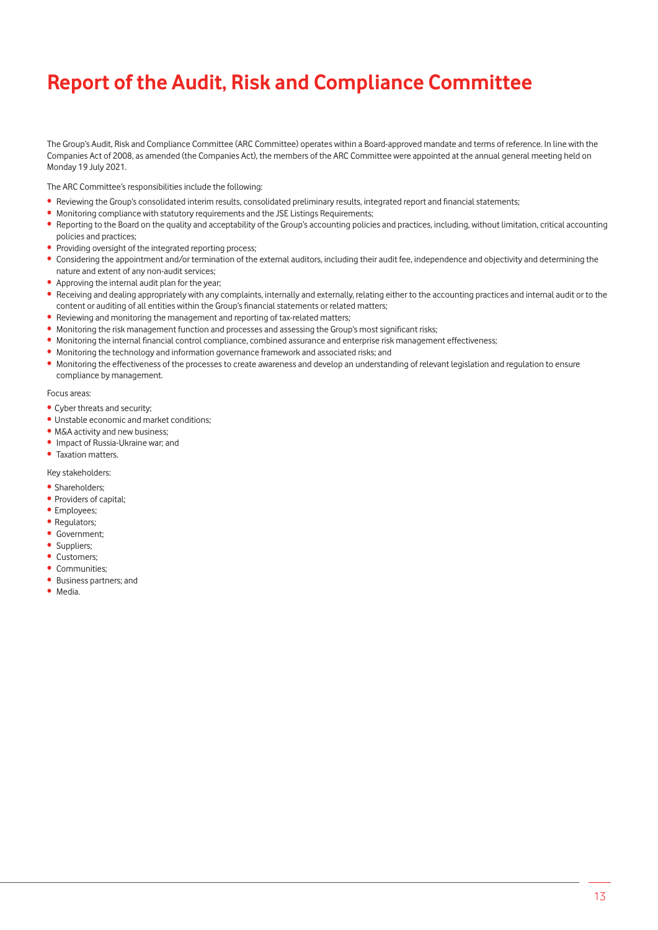The Group's Audit, Risk and Compliance Committee (ARC Committee) operates within a Board-approved mandate and terms of reference. In line with the Companies Act of 2008, as amended (the Companies Act), the members of the ARC Committee were appointed at the annual general meeting held on Monday 19 July 2021.

The ARC Committee's responsibilities include the following:

- Reviewing the Group's consolidated interim results, consolidated preliminary results, integrated report and financial statements;
- Monitoring compliance with statutory requirements and the JSE Listings Requirements;
- Reporting to the Board on the quality and acceptability of the Group's accounting policies and practices, including, without limitation, critical accounting policies and practices;
- Providing oversight of the integrated reporting process;
- Considering the appointment and/or termination of the external auditors, including their audit fee, independence and objectivity and determining the nature and extent of any non-audit services;
- Approving the internal audit plan for the year;
- Receiving and dealing appropriately with any complaints, internally and externally, relating either to the accounting practices and internal audit or to the content or auditing of all entities within the Group's financial statements or related matters;
- Reviewing and monitoring the management and reporting of tax-related matters;
- Monitoring the risk management function and processes and assessing the Group's most significant risks;
- Monitoring the internal financial control compliance, combined assurance and enterprise risk management effectiveness;
- Monitoring the technology and information governance framework and associated risks; and
- Monitoring the effectiveness of the processes to create awareness and develop an understanding of relevant legislation and regulation to ensure compliance by management.

#### Focus areas:

- Cyber threats and security;
- Unstable economic and market conditions;
- M&A activity and new business:
- Impact of Russia-Ukraine war; and
- Taxation matters.

Key stakeholders:

- Shareholders;
- Providers of capital;
- Employees;
- Regulators;
- Government;
- Suppliers;
- Customers;
- Communities:
- Business partners; and
- Media.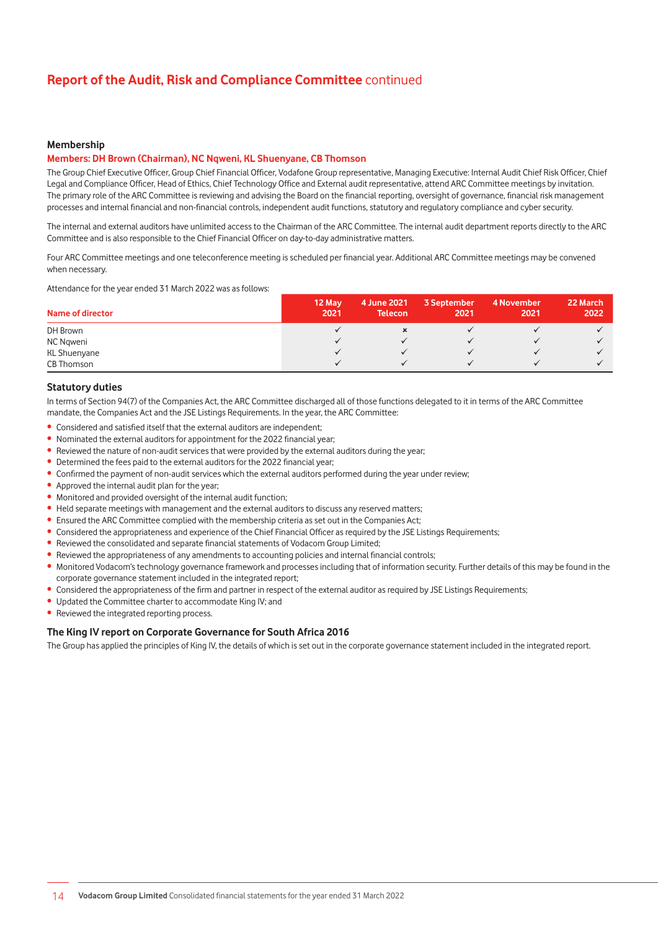### **Membership**

# **Members: DH Brown (Chairman), NC Nqweni, KL Shuenyane, CB Thomson**

The Group Chief Executive Officer, Group Chief Financial Officer, Vodafone Group representative, Managing Executive: Internal Audit Chief Risk Officer, Chief Legal and Compliance Officer, Head of Ethics, Chief Technology Office and External audit representative, attend ARC Committee meetings by invitation. The primary role of the ARC Committee is reviewing and advising the Board on the financial reporting, oversight of governance, financial risk management processes and internal financial and non-financial controls, independent audit functions, statutory and regulatory compliance and cyber security.

The internal and external auditors have unlimited access to the Chairman of the ARC Committee. The internal audit department reports directly to the ARC Committee and is also responsible to the Chief Financial Officer on day-to-day administrative matters.

Four ARC Committee meetings and one teleconference meeting is scheduled per financial year. Additional ARC Committee meetings may be convened when necessary.

Attendance for the year ended 31 March 2022 was as follows:

| Name of director | 12 May<br>2021 | 4 June 2021<br><b>Telecon</b> | 3 September<br>2021 | 4 November<br>2021 | 22 March<br>2022 |
|------------------|----------------|-------------------------------|---------------------|--------------------|------------------|
| DH Brown         |                |                               |                     |                    |                  |
| NC Ngweni        |                |                               |                     |                    |                  |
| KL Shuenyane     |                |                               |                     |                    |                  |
| CB Thomson       |                |                               |                     |                    |                  |

#### **Statutory duties**

In terms of Section 94(7) of the Companies Act, the ARC Committee discharged all of those functions delegated to it in terms of the ARC Committee mandate, the Companies Act and the JSE Listings Requirements. In the year, the ARC Committee:

- Considered and satisfied itself that the external auditors are independent;
- Nominated the external auditors for appointment for the 2022 financial year;
- Reviewed the nature of non-audit services that were provided by the external auditors during the year;
- Determined the fees paid to the external auditors for the 2022 financial year;
- Confirmed the payment of non-audit services which the external auditors performed during the year under review;
- Approved the internal audit plan for the year;
- Monitored and provided oversight of the internal audit function;
- Held separate meetings with management and the external auditors to discuss any reserved matters;
- Ensured the ARC Committee complied with the membership criteria as set out in the Companies Act;
- Considered the appropriateness and experience of the Chief Financial Officer as required by the JSE Listings Requirements;
- Reviewed the consolidated and separate financial statements of Vodacom Group Limited;
- Reviewed the appropriateness of any amendments to accounting policies and internal financial controls;

• Monitored Vodacom's technology governance framework and processes including that of information security. Further details of this may be found in the corporate governance statement included in the integrated report;

- Considered the appropriateness of the firm and partner in respect of the external auditor as required by JSE Listings Requirements;
- Updated the Committee charter to accommodate King IV; and
- Reviewed the integrated reporting process.

#### **The King IV report on Corporate Governance for South Africa 2016**

The Group has applied the principles of King IV, the details of which is set out in the corporate governance statement included in the integrated report.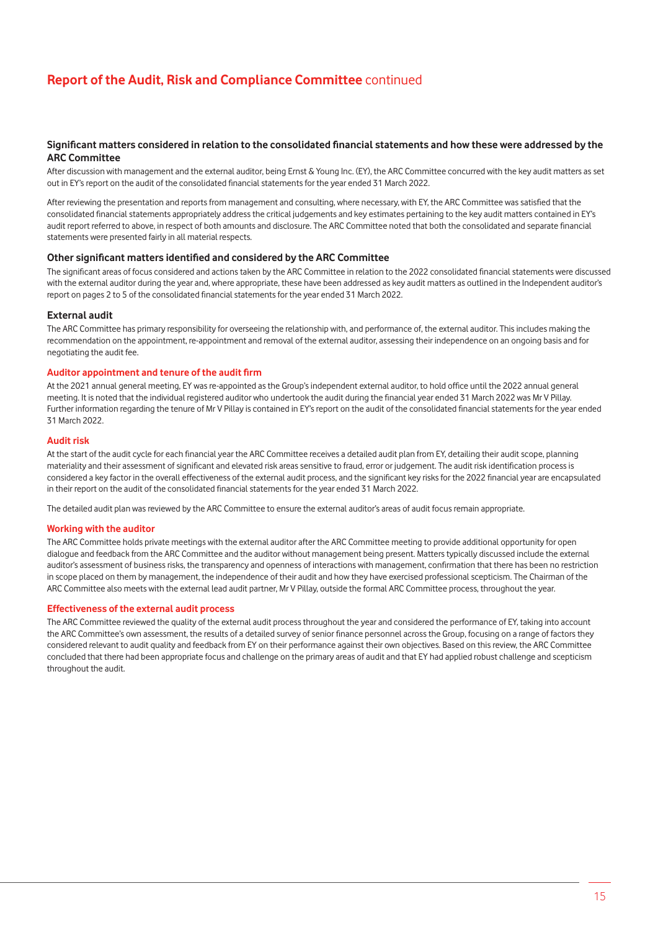# **Significant matters considered in relation to the consolidated financial statements and how these were addressed by the ARC Committee**

After discussion with management and the external auditor, being Ernst & Young Inc. (EY), the ARC Committee concurred with the key audit matters as set out in EY's report on the audit of the consolidated financial statements for the year ended 31 March 2022.

After reviewing the presentation and reports from management and consulting, where necessary, with EY, the ARC Committee was satisfied that the consolidated financial statements appropriately address the critical judgements and key estimates pertaining to the key audit matters contained in EY's audit report referred to above, in respect of both amounts and disclosure. The ARC Committee noted that both the consolidated and separate financial statements were presented fairly in all material respects.

#### **Other significant matters identified and considered by the ARC Committee**

The significant areas of focus considered and actions taken by the ARC Committee in relation to the 2022 consolidated financial statements were discussed with the external auditor during the year and, where appropriate, these have been addressed as key audit matters as outlined in the Independent auditor's report on pages 2 to 5 of the consolidated financial statements for the year ended 31 March 2022.

#### **External audit**

The ARC Committee has primary responsibility for overseeing the relationship with, and performance of, the external auditor. This includes making the recommendation on the appointment, re-appointment and removal of the external auditor, assessing their independence on an ongoing basis and for negotiating the audit fee.

### **Auditor appointment and tenure of the audit firm**

At the 2021 annual general meeting, EY was re-appointed as the Group's independent external auditor, to hold office until the 2022 annual general meeting. It is noted that the individual registered auditor who undertook the audit during the financial year ended 31 March 2022 was Mr V Pillay. Further information regarding the tenure of Mr V Pillay is contained in EY's report on the audit of the consolidated financial statements for the year ended 31 March 2022.

#### **Audit risk**

At the start of the audit cycle for each financial year the ARC Committee receives a detailed audit plan from EY, detailing their audit scope, planning materiality and their assessment of significant and elevated risk areas sensitive to fraud, error or judgement. The audit risk identification process is considered a key factor in the overall effectiveness of the external audit process, and the significant key risks for the 2022 financial year are encapsulated in their report on the audit of the consolidated financial statements for the year ended 31 March 2022.

The detailed audit plan was reviewed by the ARC Committee to ensure the external auditor's areas of audit focus remain appropriate.

#### **Working with the auditor**

The ARC Committee holds private meetings with the external auditor after the ARC Committee meeting to provide additional opportunity for open dialogue and feedback from the ARC Committee and the auditor without management being present. Matters typically discussed include the external auditor's assessment of business risks, the transparency and openness of interactions with management, confirmation that there has been no restriction in scope placed on them by management, the independence of their audit and how they have exercised professional scepticism. The Chairman of the ARC Committee also meets with the external lead audit partner, Mr V Pillay, outside the formal ARC Committee process, throughout the year.

### **Effectiveness of the external audit process**

The ARC Committee reviewed the quality of the external audit process throughout the year and considered the performance of EY, taking into account the ARC Committee's own assessment, the results of a detailed survey of senior finance personnel across the Group, focusing on a range of factors they considered relevant to audit quality and feedback from EY on their performance against their own objectives. Based on this review, the ARC Committee concluded that there had been appropriate focus and challenge on the primary areas of audit and that EY had applied robust challenge and scepticism throughout the audit.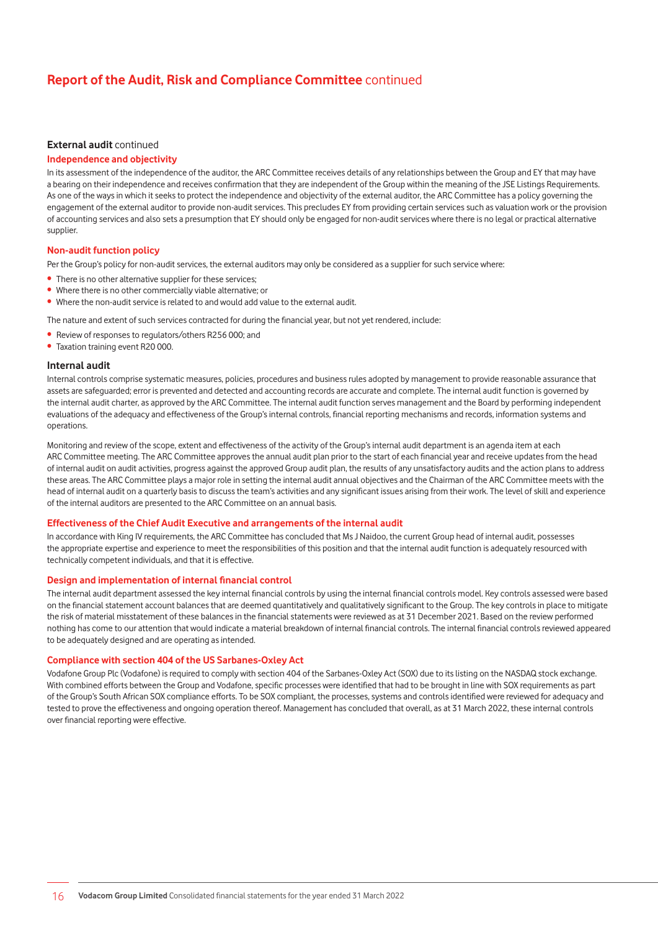### **External audit** continued

# **Independence and objectivity**

In its assessment of the independence of the auditor, the ARC Committee receives details of any relationships between the Group and EY that may have a bearing on their independence and receives confirmation that they are independent of the Group within the meaning of the JSE Listings Requirements. As one of the ways in which it seeks to protect the independence and objectivity of the external auditor, the ARC Committee has a policy governing the engagement of the external auditor to provide non-audit services. This precludes EY from providing certain services such as valuation work or the provision of accounting services and also sets a presumption that EY should only be engaged for non-audit services where there is no legal or practical alternative supplier.

### **Non-audit function policy**

Per the Group's policy for non-audit services, the external auditors may only be considered as a supplier for such service where:

- There is no other alternative supplier for these services;
- Where there is no other commercially viable alternative; or
- Where the non-audit service is related to and would add value to the external audit.

The nature and extent of such services contracted for during the financial year, but not yet rendered, include:

- Review of responses to regulators/others R256 000; and
- Taxation training event R20 000.

#### **Internal audit**

Internal controls comprise systematic measures, policies, procedures and business rules adopted by management to provide reasonable assurance that assets are safeguarded; error is prevented and detected and accounting records are accurate and complete. The internal audit function is governed by the internal audit charter, as approved by the ARC Committee. The internal audit function serves management and the Board by performing independent evaluations of the adequacy and effectiveness of the Group's internal controls, financial reporting mechanisms and records, information systems and operations.

Monitoring and review of the scope, extent and effectiveness of the activity of the Group's internal audit department is an agenda item at each ARC Committee meeting. The ARC Committee approves the annual audit plan prior to the start of each financial year and receive updates from the head of internal audit on audit activities, progress against the approved Group audit plan, the results of any unsatisfactory audits and the action plans to address these areas. The ARC Committee plays a major role in setting the internal audit annual objectives and the Chairman of the ARC Committee meets with the head of internal audit on a quarterly basis to discuss the team's activities and any significant issues arising from their work. The level of skill and experience of the internal auditors are presented to the ARC Committee on an annual basis.

#### **Effectiveness of the Chief Audit Executive and arrangements of the internal audit**

In accordance with King IV requirements, the ARC Committee has concluded that Ms J Naidoo, the current Group head of internal audit, possesses the appropriate expertise and experience to meet the responsibilities of this position and that the internal audit function is adequately resourced with technically competent individuals, and that it is effective.

### **Design and implementation of internal financial control**

The internal audit department assessed the key internal financial controls by using the internal financial controls model. Key controls assessed were based on the financial statement account balances that are deemed quantitatively and qualitatively significant to the Group. The key controls in place to mitigate the risk of material misstatement of these balances in the financial statements were reviewed as at 31 December 2021. Based on the review performed nothing has come to our attention that would indicate a material breakdown of internal financial controls. The internal financial controls reviewed appeared to be adequately designed and are operating as intended.

### **Compliance with section 404 of the US Sarbanes-Oxley Act**

Vodafone Group Plc (Vodafone) is required to comply with section 404 of the Sarbanes-Oxley Act (SOX) due to its listing on the NASDAQ stock exchange. With combined efforts between the Group and Vodafone, specific processes were identified that had to be brought in line with SOX requirements as part of the Group's South African SOX compliance efforts. To be SOX compliant, the processes, systems and controls identified were reviewed for adequacy and tested to prove the effectiveness and ongoing operation thereof. Management has concluded that overall, as at 31 March 2022, these internal controls over financial reporting were effective.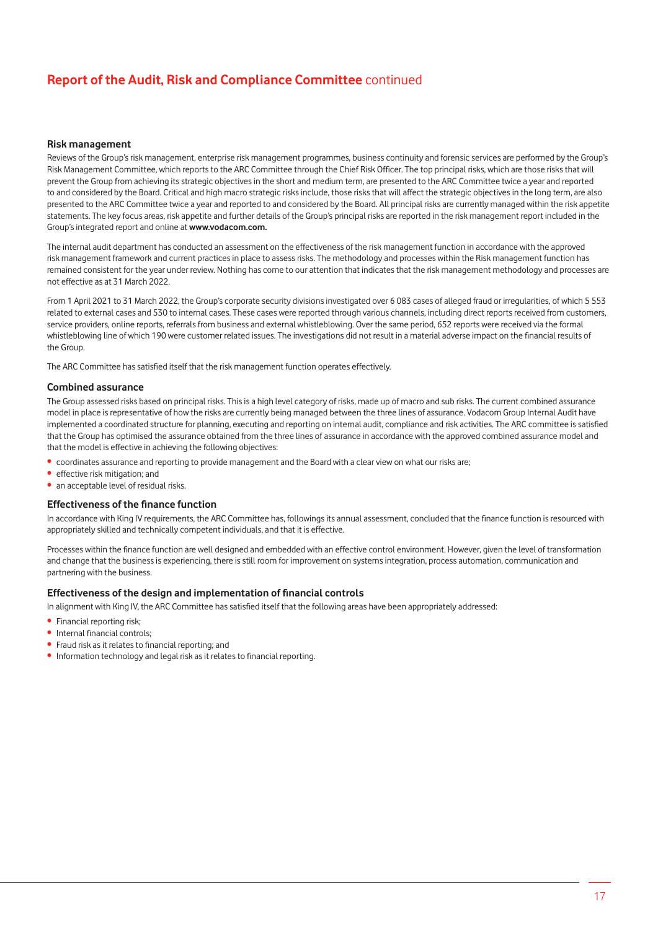### **Risk management**

Reviews of the Group's risk management, enterprise risk management programmes, business continuity and forensic services are performed by the Group's Risk Management Committee, which reports to the ARC Committee through the Chief Risk Officer. The top principal risks, which are those risks that will prevent the Group from achieving its strategic objectives in the short and medium term, are presented to the ARC Committee twice a year and reported to and considered by the Board. Critical and high macro strategic risks include, those risks that will affect the strategic objectives in the long term, are also presented to the ARC Committee twice a year and reported to and considered by the Board. All principal risks are currently managed within the risk appetite statements. The key focus areas, risk appetite and further details of the Group's principal risks are reported in the risk management report included in the Group's integrated report and online at **www.vodacom.com.**

The internal audit department has conducted an assessment on the effectiveness of the risk management function in accordance with the approved risk management framework and current practices in place to assess risks. The methodology and processes within the Risk management function has remained consistent for the year under review. Nothing has come to our attention that indicates that the risk management methodology and processes are not effective as at 31 March 2022.

From 1 April 2021 to 31 March 2022, the Group's corporate security divisions investigated over 6 083 cases of alleged fraud or irregularities, of which 5 553 related to external cases and 530 to internal cases. These cases were reported through various channels, including direct reports received from customers, service providers, online reports, referrals from business and external whistleblowing. Over the same period, 652 reports were received via the formal whistleblowing line of which 190 were customer related issues. The investigations did not result in a material adverse impact on the financial results of the Group.

The ARC Committee has satisfied itself that the risk management function operates effectively.

#### **Combined assurance**

The Group assessed risks based on principal risks. This is a high level category of risks, made up of macro and sub risks. The current combined assurance model in place is representative of how the risks are currently being managed between the three lines of assurance. Vodacom Group Internal Audit have implemented a coordinated structure for planning, executing and reporting on internal audit, compliance and risk activities. The ARC committee is satisfied that the Group has optimised the assurance obtained from the three lines of assurance in accordance with the approved combined assurance model and that the model is effective in achieving the following objectives:

- coordinates assurance and reporting to provide management and the Board with a clear view on what our risks are;
- effective risk mitigation; and
- an acceptable level of residual risks.

#### **Effectiveness of the finance function**

In accordance with King IV requirements, the ARC Committee has, followings its annual assessment, concluded that the finance function is resourced with appropriately skilled and technically competent individuals, and that it is effective.

Processes within the finance function are well designed and embedded with an effective control environment. However, given the level of transformation and change that the business is experiencing, there is still room for improvement on systems integration, process automation, communication and partnering with the business.

#### **Effectiveness of the design and implementation of financial controls**

In alignment with King IV, the ARC Committee has satisfied itself that the following areas have been appropriately addressed:

- Financial reporting risk;
- Internal financial controls;
- Fraud risk as it relates to financial reporting; and
- Information technology and legal risk as it relates to financial reporting.